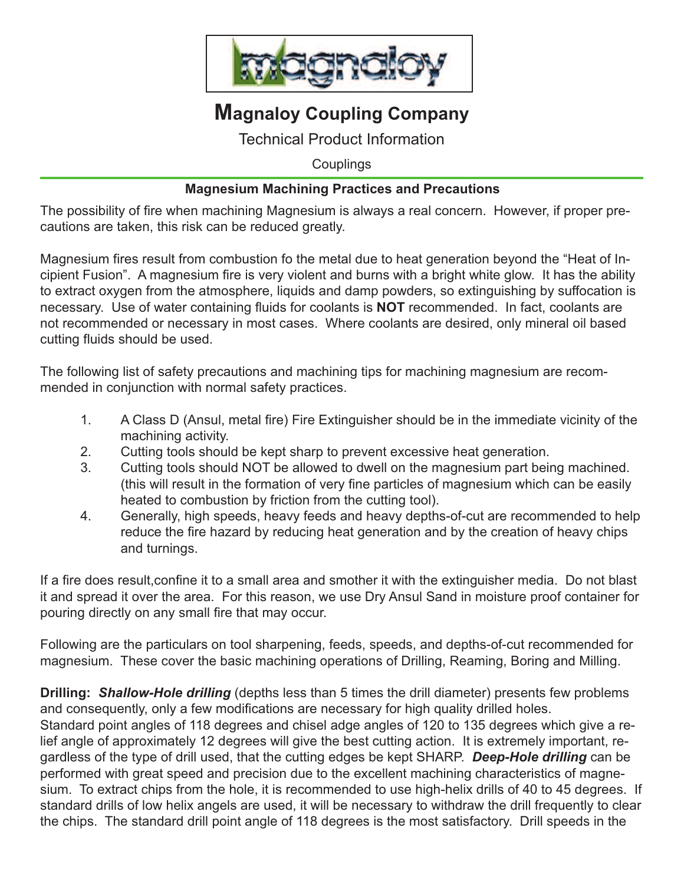

# **Magnaloy Coupling Company**

Technical Product Information

**Couplings** 

### **Magnesium Machining Practices and Precautions**

The possibility of fire when machining Magnesium is always a real concern. However, if proper precautions are taken, this risk can be reduced greatly.

Magnesium fires result from combustion fo the metal due to heat generation beyond the "Heat of Incipient Fusion". A magnesium fire is very violent and burns with a bright white glow. It has the ability to extract oxygen from the atmosphere, liquids and damp powders, so extinguishing by suffocation is necessary. Use of water containing fluids for coolants is **NOT** recommended. In fact, coolants are not recommended or necessary in most cases. Where coolants are desired, only mineral oil based cutting fluids should be used.

The following list of safety precautions and machining tips for machining magnesium are recommended in conjunction with normal safety practices.

- 1. A Class D (Ansul, metal fire) Fire Extinguisher should be in the immediate vicinity of the machining activity.
- 2. Cutting tools should be kept sharp to prevent excessive heat generation.
- 3. Cutting tools should NOT be allowed to dwell on the magnesium part being machined. (this will result in the formation of very fine particles of magnesium which can be easily heated to combustion by friction from the cutting tool).
- 4. Generally, high speeds, heavy feeds and heavy depths-of-cut are recommended to help reduce the fire hazard by reducing heat generation and by the creation of heavy chips and turnings.

If a fire does result,confine it to a small area and smother it with the extinguisher media. Do not blast it and spread it over the area. For this reason, we use Dry Ansul Sand in moisture proof container for pouring directly on any small fire that may occur.

Following are the particulars on tool sharpening, feeds, speeds, and depths-of-cut recommended for magnesium. These cover the basic machining operations of Drilling, Reaming, Boring and Milling.

**Drilling:** *Shallow-Hole drilling* (depths less than 5 times the drill diameter) presents few problems and consequently, only a few modifications are necessary for high quality drilled holes.

Standard point angles of 118 degrees and chisel adge angles of 120 to 135 degrees which give a relief angle of approximately 12 degrees will give the best cutting action. It is extremely important, regardless of the type of drill used, that the cutting edges be kept SHARP. *Deep-Hole drilling* can be performed with great speed and precision due to the excellent machining characteristics of magnesium. To extract chips from the hole, it is recommended to use high-helix drills of 40 to 45 degrees. If standard drills of low helix angels are used, it will be necessary to withdraw the drill frequently to clear the chips. The standard drill point angle of 118 degrees is the most satisfactory. Drill speeds in the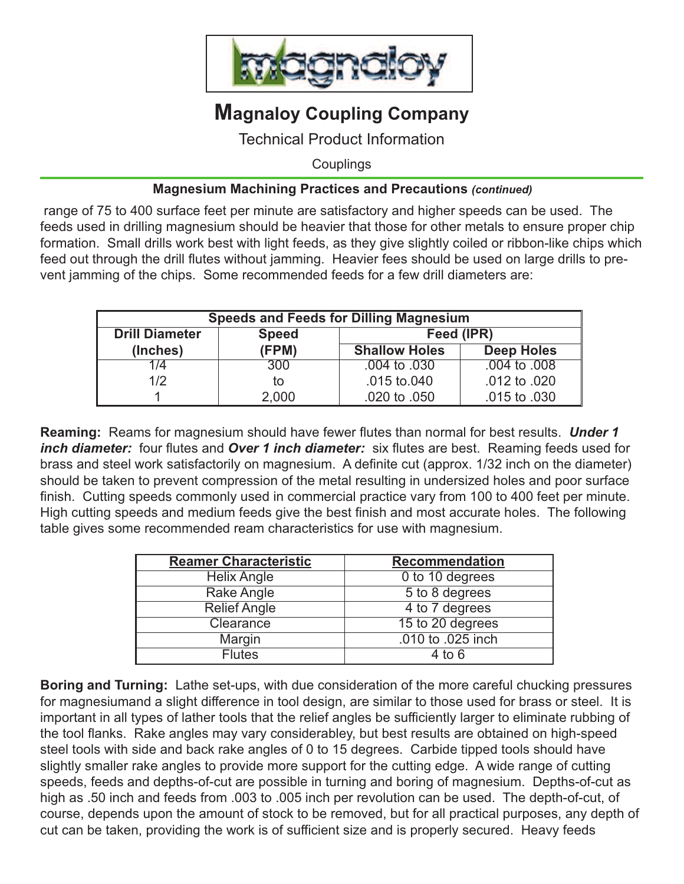

# **Magnaloy Coupling Company**

Technical Product Information

**Couplings** 

### **Magnesium Machining Practices and Precautions** *(continued)*

range of 75 to 400 surface feet per minute are satisfactory and higher speeds can be used. The feeds used in drilling magnesium should be heavier that those for other metals to ensure proper chip formation. Small drills work best with light feeds, as they give slightly coiled or ribbon-like chips which feed out through the drill flutes without jamming. Heavier fees should be used on large drills to prevent jamming of the chips. Some recommended feeds for a few drill diameters are:

| <b>Speeds and Feeds for Dilling Magnesium</b> |              |                      |                   |  |  |  |
|-----------------------------------------------|--------------|----------------------|-------------------|--|--|--|
| <b>Drill Diameter</b>                         | <b>Speed</b> | Feed (IPR)           |                   |  |  |  |
| (Inches)                                      | (FPM)        | <b>Shallow Holes</b> | <b>Deep Holes</b> |  |  |  |
| 1/4                                           | 300          | .004 to .030         | $.004$ to $.008$  |  |  |  |
| 1/2                                           | to           | .015 to.040          | .012 to .020      |  |  |  |
|                                               | 2,000        | .020 to .050         | .015 to .030      |  |  |  |

**Reaming:** Reams for magnesium should have fewer flutes than normal for best results. *Under 1 inch diameter:* four flutes and *Over 1 inch diameter:* six flutes are best. Reaming feeds used for brass and steel work satisfactorily on magnesium. A definite cut (approx. 1/32 inch on the diameter) should be taken to prevent compression of the metal resulting in undersized holes and poor surface finish. Cutting speeds commonly used in commercial practice vary from 100 to 400 feet per minute. High cutting speeds and medium feeds give the best finish and most accurate holes. The following table gives some recommended ream characteristics for use with magnesium.

| <b>Reamer Characteristic</b> | <b>Recommendation</b>        |  |  |
|------------------------------|------------------------------|--|--|
| <b>Helix Angle</b>           | $\overline{0}$ to 10 degrees |  |  |
| Rake Angle                   | 5 to 8 degrees               |  |  |
| <b>Relief Angle</b>          | 4 to 7 degrees               |  |  |
| Clearance                    | 15 to 20 degrees             |  |  |
| Margin                       | .010 to .025 inch            |  |  |
| <b>Flutes</b>                | $4$ to 6                     |  |  |

**Boring and Turning:** Lathe set-ups, with due consideration of the more careful chucking pressures for magnesiumand a slight difference in tool design, are similar to those used for brass or steel. It is important in all types of lather tools that the relief angles be sufficiently larger to eliminate rubbing of the tool flanks. Rake angles may vary considerabley, but best results are obtained on high-speed steel tools with side and back rake angles of 0 to 15 degrees. Carbide tipped tools should have slightly smaller rake angles to provide more support for the cutting edge. A wide range of cutting speeds, feeds and depths-of-cut are possible in turning and boring of magnesium. Depths-of-cut as high as .50 inch and feeds from .003 to .005 inch per revolution can be used. The depth-of-cut, of course, depends upon the amount of stock to be removed, but for all practical purposes, any depth of cut can be taken, providing the work is of sufficient size and is properly secured. Heavy feeds